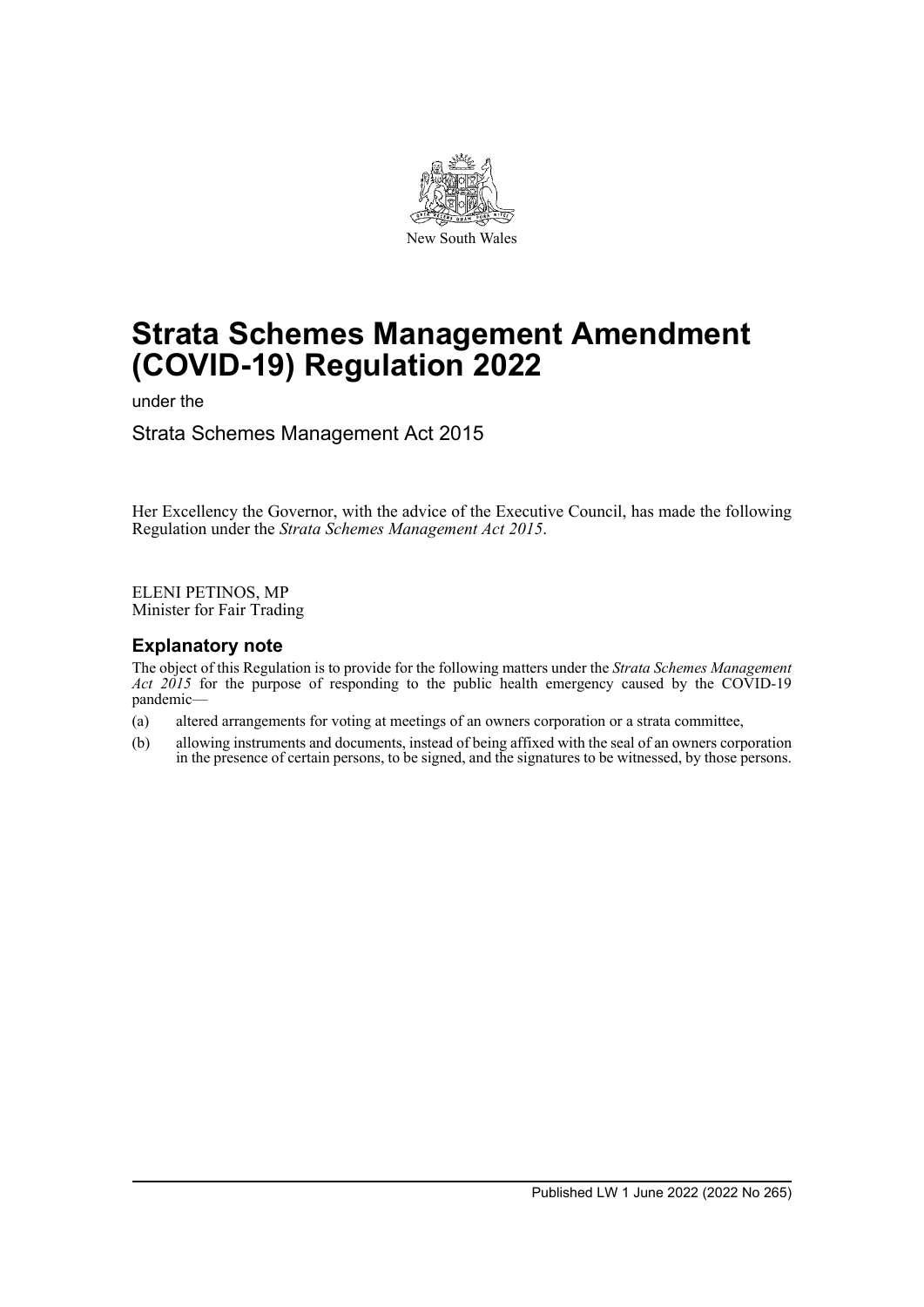

# **Strata Schemes Management Amendment (COVID-19) Regulation 2022**

under the

Strata Schemes Management Act 2015

Her Excellency the Governor, with the advice of the Executive Council, has made the following Regulation under the *Strata Schemes Management Act 2015*.

ELENI PETINOS, MP Minister for Fair Trading

## **Explanatory note**

The object of this Regulation is to provide for the following matters under the *Strata Schemes Management* Act 2015 for the purpose of responding to the public health emergency caused by the COVID-19 pandemic—

- (a) altered arrangements for voting at meetings of an owners corporation or a strata committee,
- (b) allowing instruments and documents, instead of being affixed with the seal of an owners corporation in the presence of certain persons, to be signed, and the signatures to be witnessed, by those persons.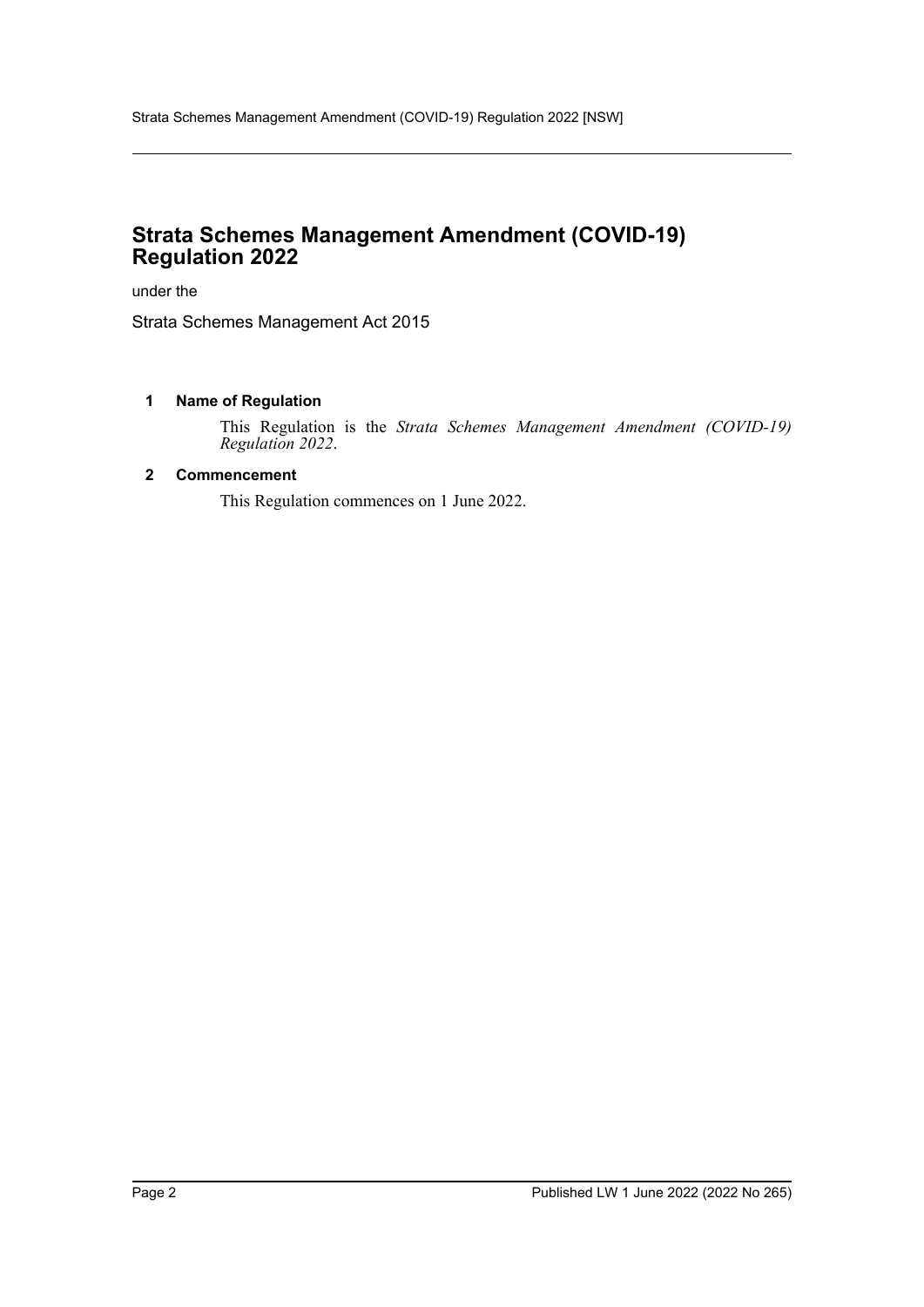# **Strata Schemes Management Amendment (COVID-19) Regulation 2022**

under the

Strata Schemes Management Act 2015

### **1 Name of Regulation**

This Regulation is the *Strata Schemes Management Amendment (COVID-19) Regulation 2022*.

### **2 Commencement**

This Regulation commences on 1 June 2022.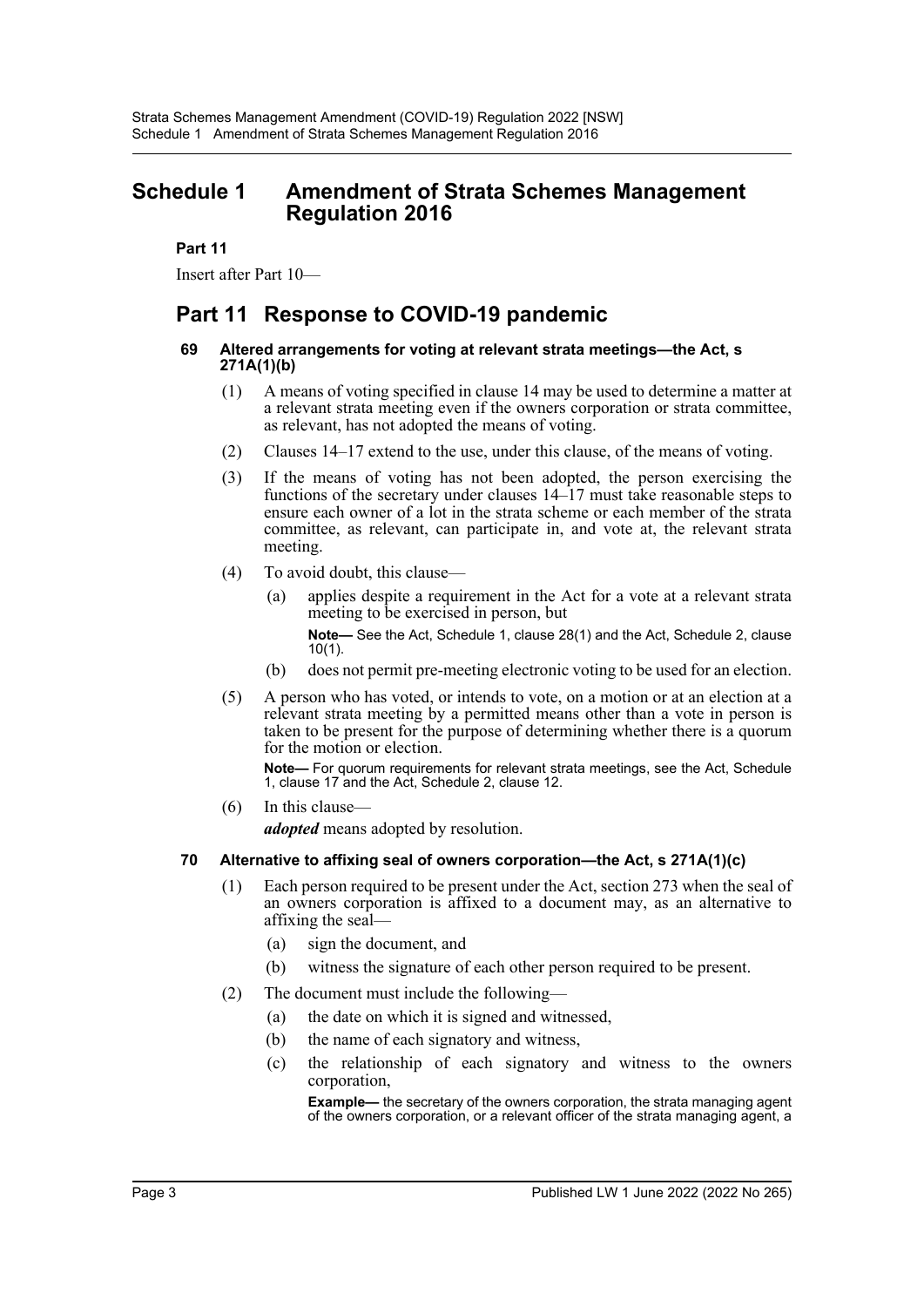# **Schedule 1 Amendment of Strata Schemes Management Regulation 2016**

**Part 11**

Insert after Part 10—

# **Part 11 Response to COVID-19 pandemic**

#### **69 Altered arrangements for voting at relevant strata meetings—the Act, s 271A(1)(b)**

- (1) A means of voting specified in clause 14 may be used to determine a matter at a relevant strata meeting even if the owners corporation or strata committee, as relevant, has not adopted the means of voting.
- (2) Clauses 14–17 extend to the use, under this clause, of the means of voting.
- (3) If the means of voting has not been adopted, the person exercising the functions of the secretary under clauses 14–17 must take reasonable steps to ensure each owner of a lot in the strata scheme or each member of the strata committee, as relevant, can participate in, and vote at, the relevant strata meeting.
- (4) To avoid doubt, this clause—
	- (a) applies despite a requirement in the Act for a vote at a relevant strata meeting to be exercised in person, but

**Note—** See the Act, Schedule 1, clause 28(1) and the Act, Schedule 2, clause 10(1).

- (b) does not permit pre-meeting electronic voting to be used for an election.
- (5) A person who has voted, or intends to vote, on a motion or at an election at a relevant strata meeting by a permitted means other than a vote in person is taken to be present for the purpose of determining whether there is a quorum for the motion or election.

**Note—** For quorum requirements for relevant strata meetings, see the Act, Schedule 1, clause 17 and the Act, Schedule 2, clause 12.

(6) In this clause—

*adopted* means adopted by resolution.

#### **70 Alternative to affixing seal of owners corporation—the Act, s 271A(1)(c)**

- (1) Each person required to be present under the Act, section 273 when the seal of an owners corporation is affixed to a document may, as an alternative to affixing the seal—
	- (a) sign the document, and
	- (b) witness the signature of each other person required to be present.
- (2) The document must include the following—
	- (a) the date on which it is signed and witnessed,
	- (b) the name of each signatory and witness,
	- (c) the relationship of each signatory and witness to the owners corporation,

**Example—** the secretary of the owners corporation, the strata managing agent of the owners corporation, or a relevant officer of the strata managing agent, a